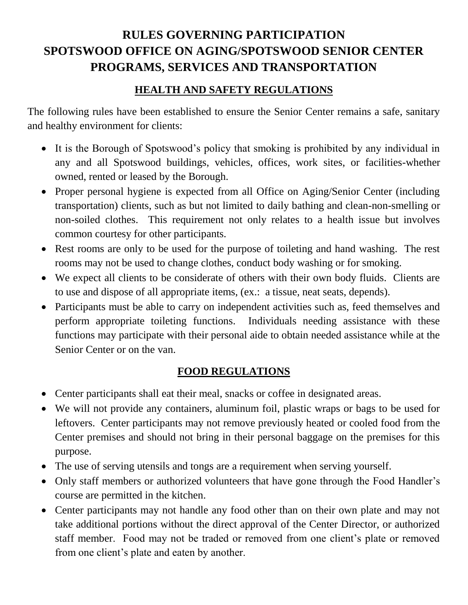# **RULES GOVERNING PARTICIPATION SPOTSWOOD OFFICE ON AGING/SPOTSWOOD SENIOR CENTER PROGRAMS, SERVICES AND TRANSPORTATION**

#### **HEALTH AND SAFETY REGULATIONS**

The following rules have been established to ensure the Senior Center remains a safe, sanitary and healthy environment for clients:

- It is the Borough of Spotswood's policy that smoking is prohibited by any individual in any and all Spotswood buildings, vehicles, offices, work sites, or facilities-whether owned, rented or leased by the Borough.
- Proper personal hygiene is expected from all Office on Aging/Senior Center (including transportation) clients, such as but not limited to daily bathing and clean-non-smelling or non-soiled clothes. This requirement not only relates to a health issue but involves common courtesy for other participants.
- Rest rooms are only to be used for the purpose of toileting and hand washing. The rest rooms may not be used to change clothes, conduct body washing or for smoking.
- We expect all clients to be considerate of others with their own body fluids. Clients are to use and dispose of all appropriate items, (ex.: a tissue, neat seats, depends).
- Participants must be able to carry on independent activities such as, feed themselves and perform appropriate toileting functions. Individuals needing assistance with these functions may participate with their personal aide to obtain needed assistance while at the Senior Center or on the van.

### **FOOD REGULATIONS**

- Center participants shall eat their meal, snacks or coffee in designated areas.
- We will not provide any containers, aluminum foil, plastic wraps or bags to be used for leftovers. Center participants may not remove previously heated or cooled food from the Center premises and should not bring in their personal baggage on the premises for this purpose.
- The use of serving utensils and tongs are a requirement when serving yourself.
- Only staff members or authorized volunteers that have gone through the Food Handler's course are permitted in the kitchen.
- Center participants may not handle any food other than on their own plate and may not take additional portions without the direct approval of the Center Director, or authorized staff member. Food may not be traded or removed from one client's plate or removed from one client's plate and eaten by another.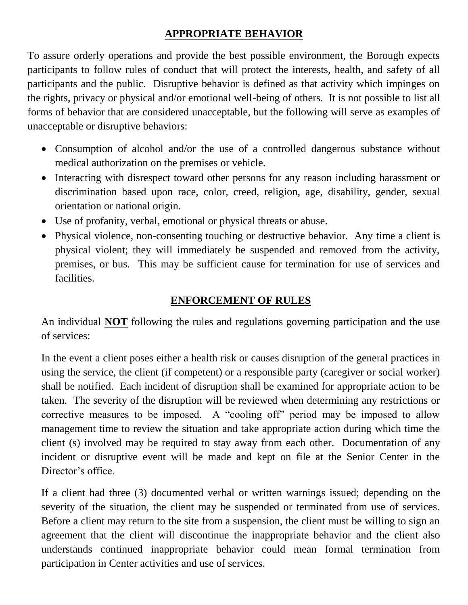### **APPROPRIATE BEHAVIOR**

To assure orderly operations and provide the best possible environment, the Borough expects participants to follow rules of conduct that will protect the interests, health, and safety of all participants and the public. Disruptive behavior is defined as that activity which impinges on the rights, privacy or physical and/or emotional well-being of others. It is not possible to list all forms of behavior that are considered unacceptable, but the following will serve as examples of unacceptable or disruptive behaviors:

- Consumption of alcohol and/or the use of a controlled dangerous substance without medical authorization on the premises or vehicle.
- Interacting with disrespect toward other persons for any reason including harassment or discrimination based upon race, color, creed, religion, age, disability, gender, sexual orientation or national origin.
- Use of profanity, verbal, emotional or physical threats or abuse.
- Physical violence, non-consenting touching or destructive behavior. Any time a client is physical violent; they will immediately be suspended and removed from the activity, premises, or bus. This may be sufficient cause for termination for use of services and facilities.

## **ENFORCEMENT OF RULES**

An individual **NOT** following the rules and regulations governing participation and the use of services:

In the event a client poses either a health risk or causes disruption of the general practices in using the service, the client (if competent) or a responsible party (caregiver or social worker) shall be notified. Each incident of disruption shall be examined for appropriate action to be taken. The severity of the disruption will be reviewed when determining any restrictions or corrective measures to be imposed. A "cooling off" period may be imposed to allow management time to review the situation and take appropriate action during which time the client (s) involved may be required to stay away from each other. Documentation of any incident or disruptive event will be made and kept on file at the Senior Center in the Director's office.

If a client had three (3) documented verbal or written warnings issued; depending on the severity of the situation, the client may be suspended or terminated from use of services. Before a client may return to the site from a suspension, the client must be willing to sign an agreement that the client will discontinue the inappropriate behavior and the client also understands continued inappropriate behavior could mean formal termination from participation in Center activities and use of services.